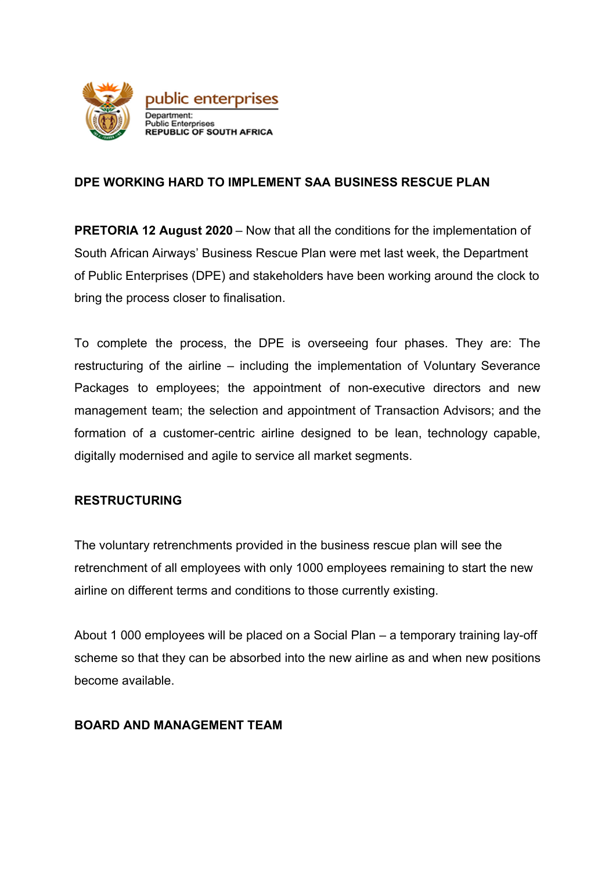

# **DPE WORKING HARD TO IMPLEMENT SAA BUSINESS RESCUE PLAN**

**PRETORIA 12 August 2020** – Now that all the conditions for the implementation of South African Airways' Business Rescue Plan were met last week, the Department of Public Enterprises (DPE) and stakeholders have been working around the clock to bring the process closer to finalisation.

To complete the process, the DPE is overseeing four phases. They are: The restructuring of the airline – including the implementation of Voluntary Severance Packages to employees; the appointment of non-executive directors and new management team; the selection and appointment of Transaction Advisors; and the formation of a customer-centric airline designed to be lean, technology capable, digitally modernised and agile to service all market segments.

## **RESTRUCTURING**

The voluntary retrenchments provided in the business rescue plan will see the retrenchment of all employees with only 1000 employees remaining to start the new airline on different terms and conditions to those currently existing.

About 1 000 employees will be placed on a Social Plan – a temporary training lay-off scheme so that they can be absorbed into the new airline as and when new positions become available.

## **BOARD AND MANAGEMENT TEAM**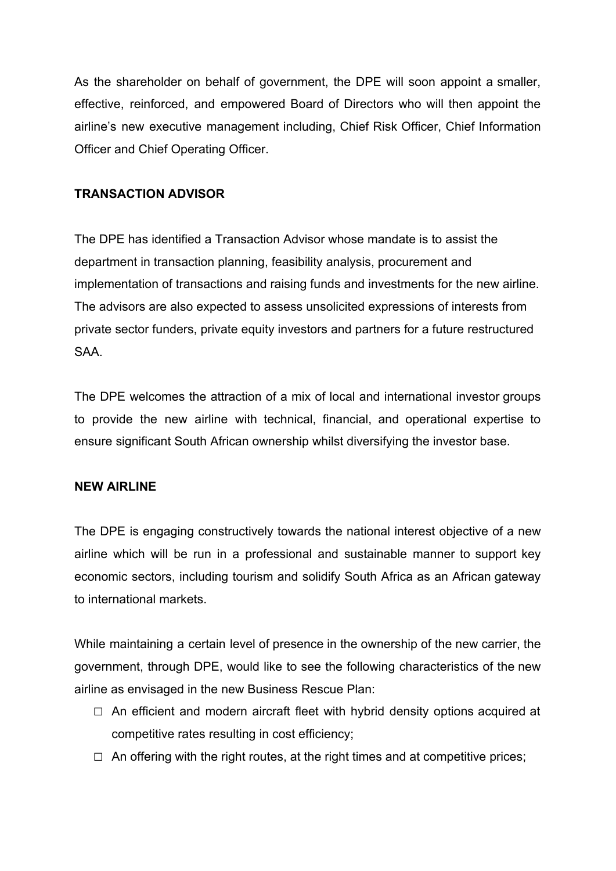As the shareholder on behalf of government, the DPE will soon appoint a smaller, effective, reinforced, and empowered Board of Directors who will then appoint the airline's new executive management including, Chief Risk Officer, Chief Information Officer and Chief Operating Officer.

### **TRANSACTION ADVISOR**

The DPE has identified a Transaction Advisor whose mandate is to assist the department in transaction planning, feasibility analysis, procurement and implementation of transactions and raising funds and investments for the new airline. The advisors are also expected to assess unsolicited expressions of interests from private sector funders, private equity investors and partners for a future restructured SAA.

The DPE welcomes the attraction of a mix of local and international investor groups to provide the new airline with technical, financial, and operational expertise to ensure significant South African ownership whilst diversifying the investor base.

#### **NEW AIRLINE**

The DPE is engaging constructively towards the national interest objective of a new airline which will be run in a professional and sustainable manner to support key economic sectors, including tourism and solidify South Africa as an African gateway to international markets.

While maintaining a certain level of presence in the ownership of the new carrier, the government, through DPE, would like to see the following characteristics of the new airline as envisaged in the new Business Rescue Plan:

- $\Box$  An efficient and modern aircraft fleet with hybrid density options acquired at competitive rates resulting in cost efficiency;
- $\Box$  An offering with the right routes, at the right times and at competitive prices;